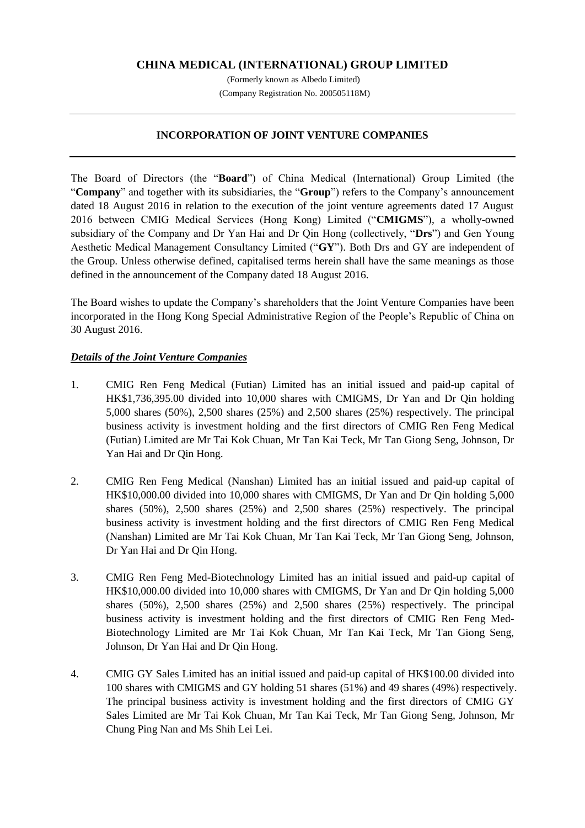# **CHINA MEDICAL (INTERNATIONAL) GROUP LIMITED**

(Formerly known as Albedo Limited) (Company Registration No. 200505118M)

## **INCORPORATION OF JOINT VENTURE COMPANIES**

The Board of Directors (the "**Board**") of China Medical (International) Group Limited (the "**Company**" and together with its subsidiaries, the "**Group**") refers to the Company's announcement dated 18 August 2016 in relation to the execution of the joint venture agreements dated 17 August 2016 between CMIG Medical Services (Hong Kong) Limited ("**CMIGMS**"), a wholly-owned subsidiary of the Company and Dr Yan Hai and Dr Qin Hong (collectively, "**Drs**") and Gen Young Aesthetic Medical Management Consultancy Limited ("**GY**"). Both Drs and GY are independent of the Group. Unless otherwise defined, capitalised terms herein shall have the same meanings as those defined in the announcement of the Company dated 18 August 2016.

The Board wishes to update the Company's shareholders that the Joint Venture Companies have been incorporated in the Hong Kong Special Administrative Region of the People's Republic of China on 30 August 2016.

## *Details of the Joint Venture Companies*

- 1. CMIG Ren Feng Medical (Futian) Limited has an initial issued and paid-up capital of HK\$1,736,395.00 divided into 10,000 shares with CMIGMS, Dr Yan and Dr Qin holding 5,000 shares (50%), 2,500 shares (25%) and 2,500 shares (25%) respectively. The principal business activity is investment holding and the first directors of CMIG Ren Feng Medical (Futian) Limited are Mr Tai Kok Chuan, Mr Tan Kai Teck, Mr Tan Giong Seng, Johnson, Dr Yan Hai and Dr Qin Hong.
- 2. CMIG Ren Feng Medical (Nanshan) Limited has an initial issued and paid-up capital of HK\$10,000.00 divided into 10,000 shares with CMIGMS, Dr Yan and Dr Qin holding 5,000 shares (50%), 2,500 shares (25%) and 2,500 shares (25%) respectively. The principal business activity is investment holding and the first directors of CMIG Ren Feng Medical (Nanshan) Limited are Mr Tai Kok Chuan, Mr Tan Kai Teck, Mr Tan Giong Seng, Johnson, Dr Yan Hai and Dr Qin Hong.
- 3. CMIG Ren Feng Med-Biotechnology Limited has an initial issued and paid-up capital of HK\$10,000.00 divided into 10,000 shares with CMIGMS, Dr Yan and Dr Qin holding 5,000 shares (50%), 2,500 shares (25%) and 2,500 shares (25%) respectively. The principal business activity is investment holding and the first directors of CMIG Ren Feng Med-Biotechnology Limited are Mr Tai Kok Chuan, Mr Tan Kai Teck, Mr Tan Giong Seng, Johnson, Dr Yan Hai and Dr Qin Hong.
- 4. CMIG GY Sales Limited has an initial issued and paid-up capital of HK\$100.00 divided into 100 shares with CMIGMS and GY holding 51 shares (51%) and 49 shares (49%) respectively. The principal business activity is investment holding and the first directors of CMIG GY Sales Limited are Mr Tai Kok Chuan, Mr Tan Kai Teck, Mr Tan Giong Seng, Johnson, Mr Chung Ping Nan and Ms Shih Lei Lei.